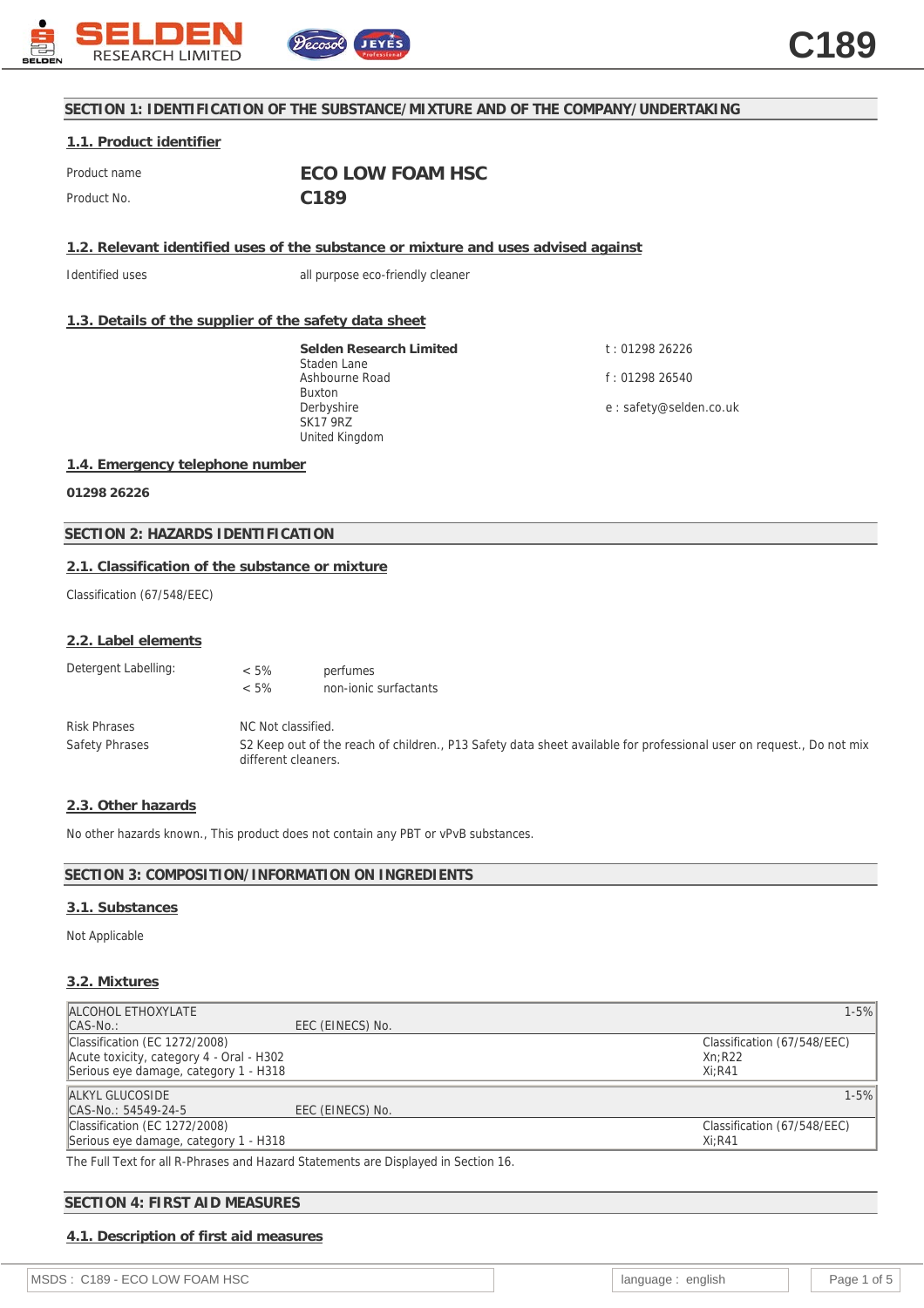

## **SECTION 1: IDENTIFICATION OF THE SUBSTANCE/MIXTURE AND OF THE COMPANY/UNDERTAKING**

## **1.1. Product identifier**

Product name **ECO LOW FOAM HSC** Product No. **C189** 

**1.2. Relevant identified uses of the substance or mixture and uses advised against**

Identified uses all purpose eco-friendly cleaner

# **1.3. Details of the supplier of the safety data sheet**

**Selden Research Limited** Staden Lane Ashbourne Road Buxton Derbyshire SK17 9RZ United Kingdom

t : 01298 26226 f : 01298 26540 e : safety@selden.co.uk

### **1.4. Emergency telephone number**

**01298 26226**

## **SECTION 2: HAZARDS IDENTIFICATION**

### **2.1. Classification of the substance or mixture**

Classification (67/548/EEC)

### **2.2. Label elements**

| Detergent Labelling: | $< 5\%$ | perfumes              |
|----------------------|---------|-----------------------|
|                      | $< 5\%$ | non-jonic surfactants |

Risk Phrases NC Not classified. Safety Phrases S2 Keep out of the reach of children., P13 Safety data sheet available for professional user on request., Do not mix different cleaners.

### **2.3. Other hazards**

No other hazards known., This product does not contain any PBT or vPvB substances.

### **SECTION 3: COMPOSITION/INFORMATION ON INGREDIENTS**

# **3.1. Substances**

Not Applicable

# **3.2. Mixtures**

| ALCOHOL ETHOXYLATE                       |                  | $1 - 5%$                    |
|------------------------------------------|------------------|-----------------------------|
| $\mathsf{CAS\text{-}No.}:$               | EEC (EINECS) No. |                             |
| Classification (EC 1272/2008)            |                  | Classification (67/548/EEC) |
| Acute toxicity, category 4 - Oral - H302 |                  | Xn:R22                      |
| Serious eye damage, category 1 - H318    |                  | $Xi:$ R41                   |
| ALKYL GLUCOSIDE                          |                  | $1 - 5%$                    |
| CAS-No.: 54549-24-5                      | EEC (EINECS) No. |                             |
| Classification (EC 1272/2008)            |                  | Classification (67/548/EEC) |
| Serious eye damage, category 1 - H318    |                  | $Xi:$ R41                   |

The Full Text for all R-Phrases and Hazard Statements are Displayed in Section 16.

# **SECTION 4: FIRST AID MEASURES**

### **4.1. Description of first aid measures**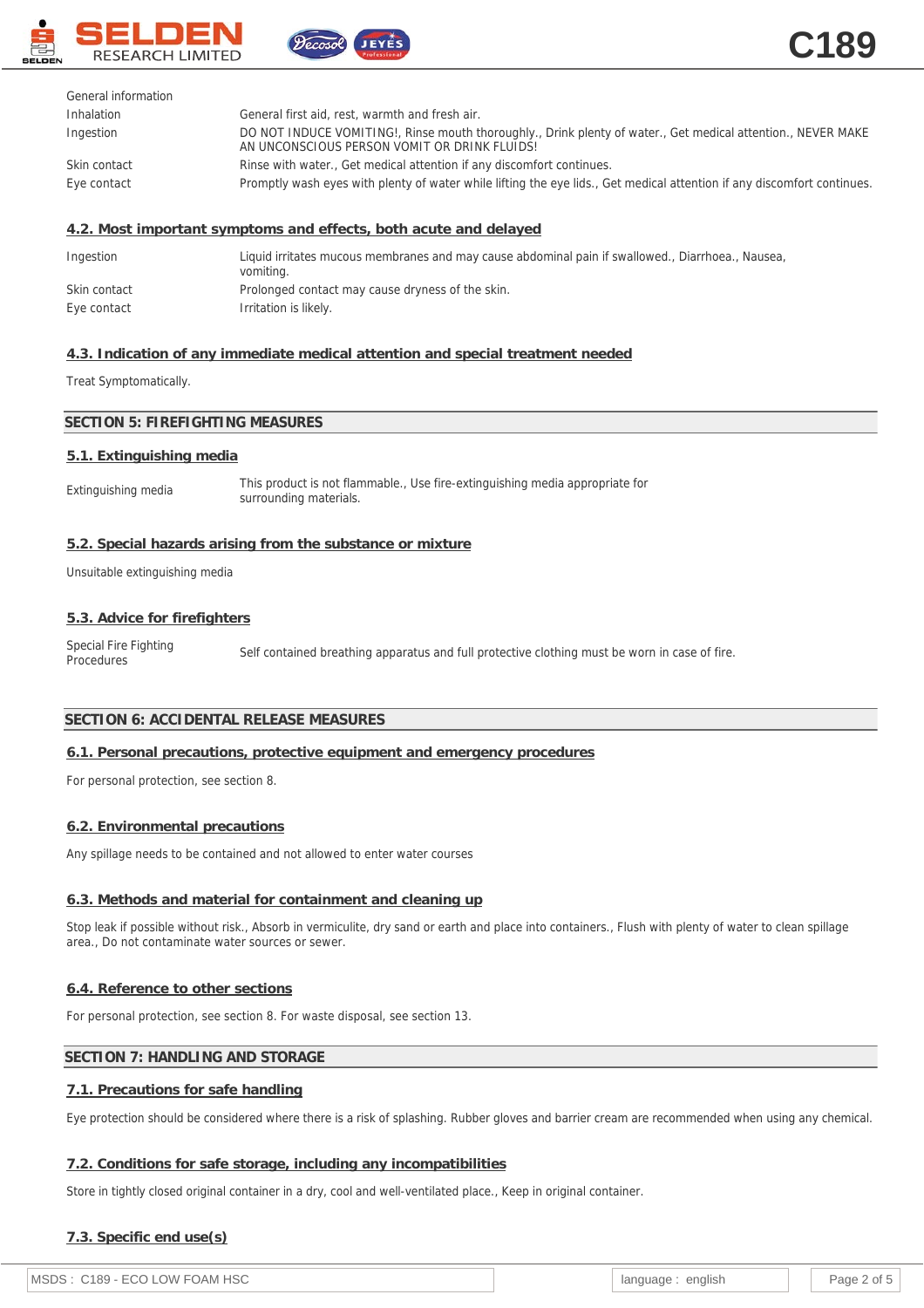

| General information |                                                                                                                                                              |
|---------------------|--------------------------------------------------------------------------------------------------------------------------------------------------------------|
| Inhalation          | General first aid, rest, warmth and fresh air.                                                                                                               |
| Ingestion           | DO NOT INDUCE VOMITING!, Rinse mouth thoroughly., Drink plenty of water., Get medical attention., NEVER MAKE<br>AN UNCONSCIOUS PERSON VOMIT OR DRINK FLUIDS! |
| Skin contact        | Rinse with water., Get medical attention if any discomfort continues.                                                                                        |
| Eye contact         | Promptly wash eyes with plenty of water while lifting the eye lids., Get medical attention if any discomfort continues.                                      |
|                     |                                                                                                                                                              |
|                     |                                                                                                                                                              |

### **4.2. Most important symptoms and effects, both acute and delayed**

ecosol

| Ingestion    | Liquid irritates mucous membranes and may cause abdominal pain if swallowed., Diarrhoea., Nausea,<br>vomiting. |
|--------------|----------------------------------------------------------------------------------------------------------------|
| Skin contact | Prolonged contact may cause dryness of the skin.                                                               |
| Eye contact  | Irritation is likely.                                                                                          |

# **4.3. Indication of any immediate medical attention and special treatment needed**

Treat Symptomatically.

### **SECTION 5: FIREFIGHTING MEASURES**

### **5.1. Extinguishing media**

Extinguishing media This product is not flammable., Use fire-extinguishing media appropriate for surrounding materials.

### **5.2. Special hazards arising from the substance or mixture**

Unsuitable extinguishing media

### **5.3. Advice for firefighters**

Special Fire Fighting Special Fire Fighting<br>Procedures Self contained breathing apparatus and full protective clothing must be worn in case of fire.

### **SECTION 6: ACCIDENTAL RELEASE MEASURES**

### **6.1. Personal precautions, protective equipment and emergency procedures**

For personal protection, see section 8.

### **6.2. Environmental precautions**

Any spillage needs to be contained and not allowed to enter water courses

### **6.3. Methods and material for containment and cleaning up**

Stop leak if possible without risk., Absorb in vermiculite, dry sand or earth and place into containers., Flush with plenty of water to clean spillage area., Do not contaminate water sources or sewer.

### **6.4. Reference to other sections**

For personal protection, see section 8. For waste disposal, see section 13.

# **SECTION 7: HANDLING AND STORAGE**

## **7.1. Precautions for safe handling**

Eye protection should be considered where there is a risk of splashing. Rubber gloves and barrier cream are recommended when using any chemical.

### **7.2. Conditions for safe storage, including any incompatibilities**

Store in tightly closed original container in a dry, cool and well-ventilated place., Keep in original container.

# **7.3. Specific end use(s)**

| language: english | Page 2 of 5 |
|-------------------|-------------|
|                   |             |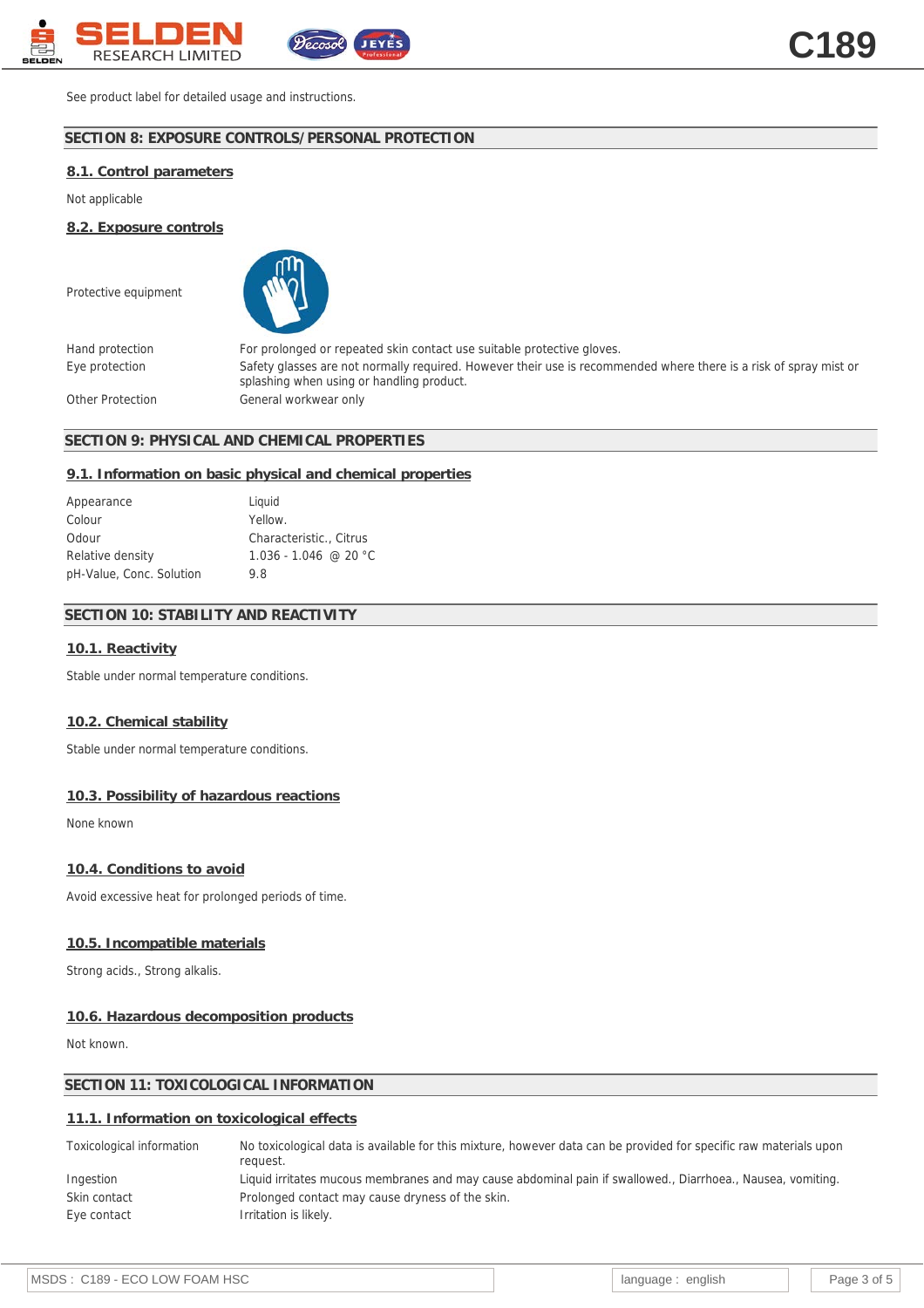

See product label for detailed usage and instructions.

### **SECTION 8: EXPOSURE CONTROLS/PERSONAL PROTECTION**

#### **8.1. Control parameters**

Not applicable

**8.2. Exposure controls**

Protective equipment



Hand protection For prolonged or repeated skin contact use suitable protective gloves. Eye protection Safety glasses are not normally required. However their use is recommended where there is a risk of spray mist or splashing when using or handling product. Other Protection General workwear only

### **SECTION 9: PHYSICAL AND CHEMICAL PROPERTIES**

### **9.1. Information on basic physical and chemical properties**

| Appearance               | Liguid                  |
|--------------------------|-------------------------|
| Colour                   | Yellow.                 |
| Odour                    | Characteristic., Citrus |
| Relative density         | $1.036 - 1.046$ @ 20 °C |
| pH-Value, Conc. Solution | 9.8                     |

### **SECTION 10: STABILITY AND REACTIVITY**

#### **10.1. Reactivity**

Stable under normal temperature conditions.

### **10.2. Chemical stability**

Stable under normal temperature conditions.

### **10.3. Possibility of hazardous reactions**

None known

# **10.4. Conditions to avoid**

Avoid excessive heat for prolonged periods of time.

# **10.5. Incompatible materials**

Strong acids., Strong alkalis.

## **10.6. Hazardous decomposition products**

Not known.

### **SECTION 11: TOXICOLOGICAL INFORMATION**

#### **11.1. Information on toxicological effects**

| Toxicological information | No toxicological data is available for this mixture, however data can be provided for specific raw materials upon<br>request. |
|---------------------------|-------------------------------------------------------------------------------------------------------------------------------|
| Ingestion                 | Liquid irritates mucous membranes and may cause abdominal pain if swallowed., Diarrhoea., Nausea, vomiting.                   |
| Skin contact              | Prolonged contact may cause dryness of the skin.                                                                              |
| Eye contact               | Irritation is likely.                                                                                                         |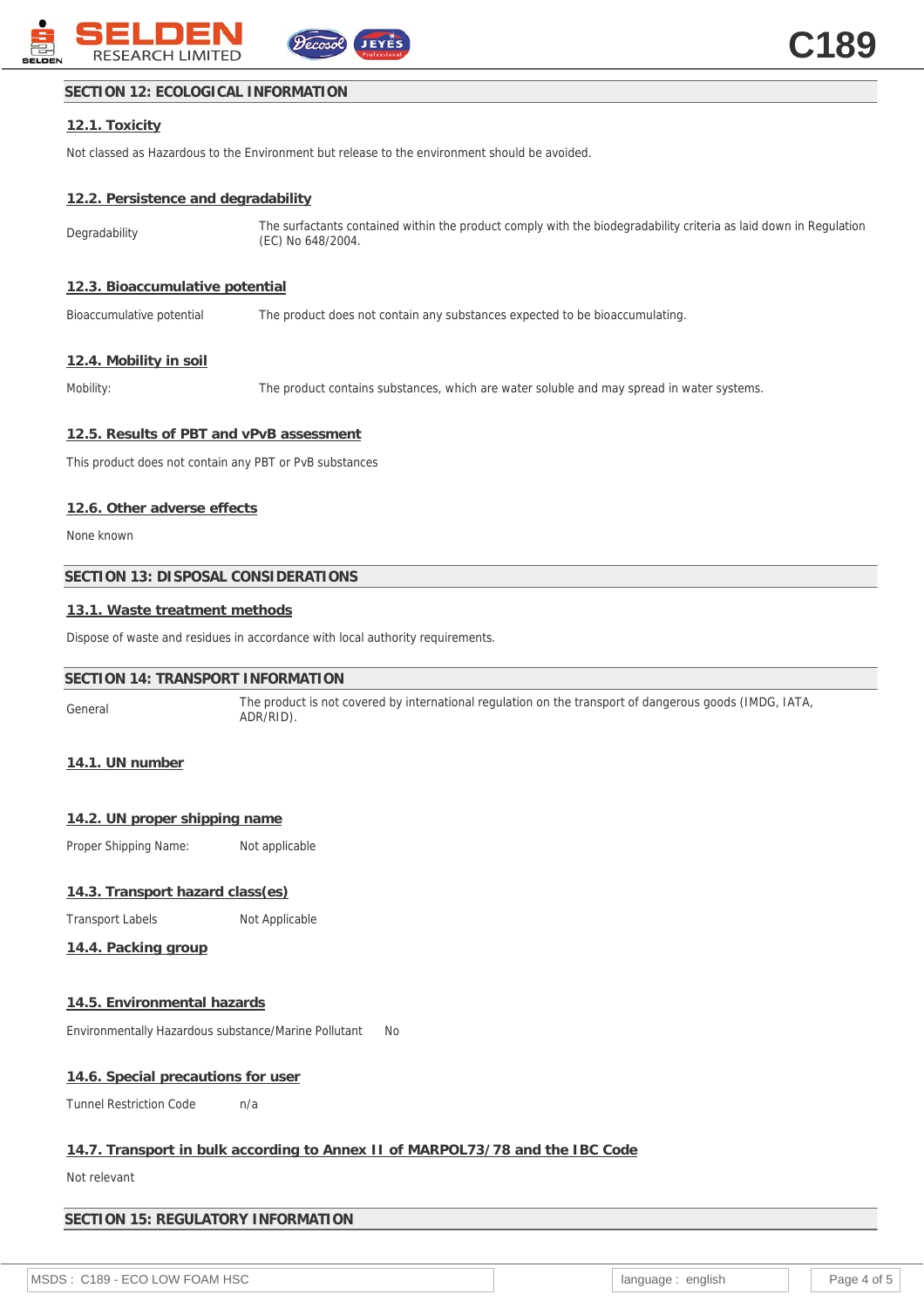# **SECTION 12: ECOLOGICAL INFORMATION**

# **12.1. Toxicity**

Not classed as Hazardous to the Environment but release to the environment should be avoided.

## **12.2. Persistence and degradability**

Degradability The surfactants contained within the product comply with the biodegradability criteria as laid down in Regulation (EC) No 648/2004.

### **12.3. Bioaccumulative potential**

Bioaccumulative potential The product does not contain any substances expected to be bioaccumulating.

### **12.4. Mobility in soil**

Mobility: The product contains substances, which are water soluble and may spread in water systems.

### **12.5. Results of PBT and vPvB assessment**

This product does not contain any PBT or PvB substances

### **12.6. Other adverse effects**

None known

# **SECTION 13: DISPOSAL CONSIDERATIONS**

### **13.1. Waste treatment methods**

Dispose of waste and residues in accordance with local authority requirements.

### **SECTION 14: TRANSPORT INFORMATION**

General The product is not covered by international regulation on the transport of dangerous goods (IMDG, IATA, ADR/RID).

### **14.1. UN number**

### **14.2. UN proper shipping name**

Proper Shipping Name: Not applicable

### **14.3. Transport hazard class(es)**

Transport Labels Not Applicable

**14.4. Packing group**

### **14.5. Environmental hazards**

Environmentally Hazardous substance/Marine Pollutant No

# **14.6. Special precautions for user**

Tunnel Restriction Code n/a

### **14.7. Transport in bulk according to Annex II of MARPOL73/78 and the IBC Code**

### Not relevant

### **SECTION 15: REGULATORY INFORMATION**